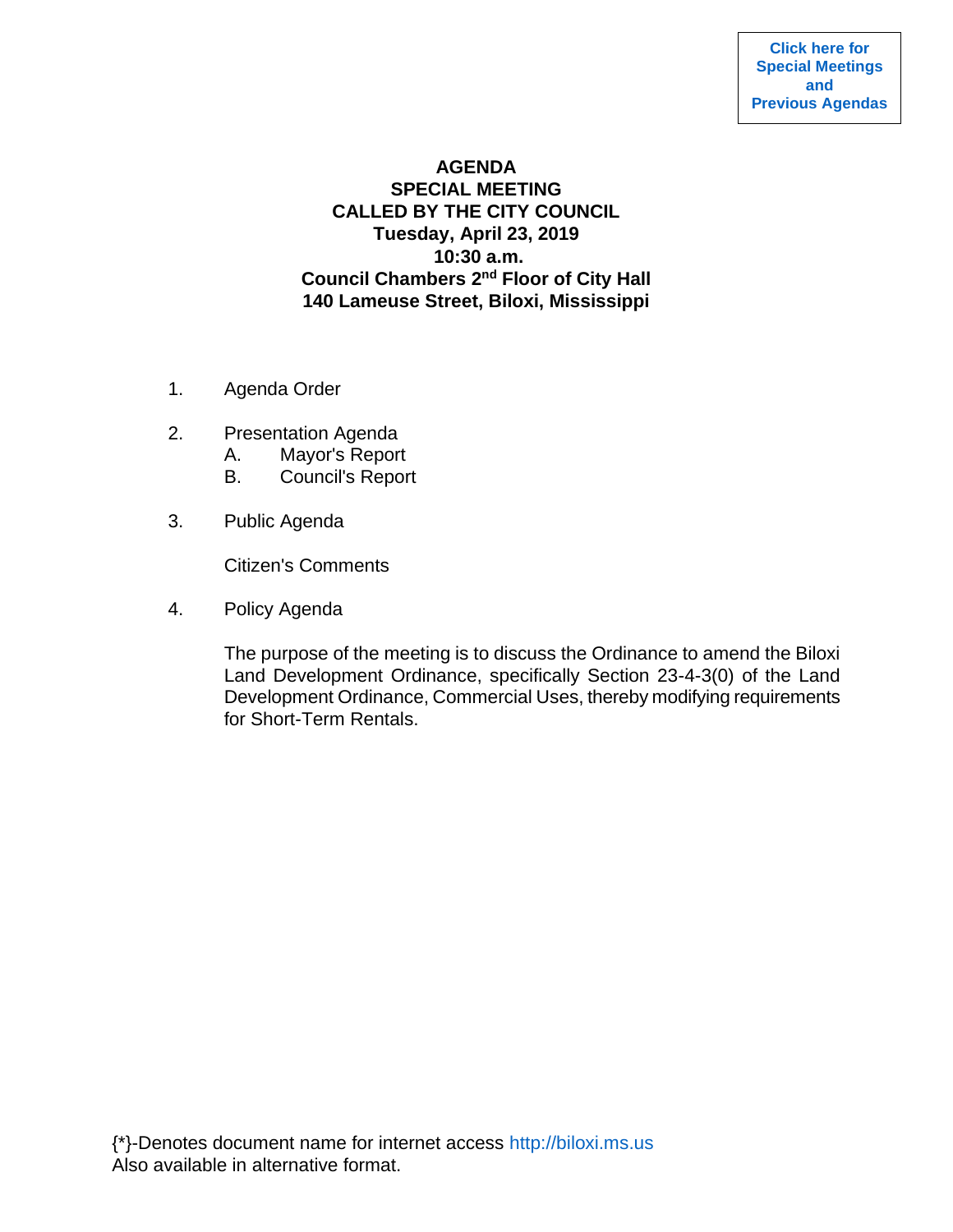# **AGENDA SPECIAL MEETING CALLED BY THE CITY COUNCIL Tuesday, April 23, 2019 10:30 a.m. Council Chambers 2nd Floor of City Hall 140 Lameuse Street, Biloxi, Mississippi**

- 1. Agenda Order
- 2. Presentation Agenda
	- A. Mayor's Report
	- B. Council's Report
- 3. Public Agenda

Citizen's Comments

4. Policy Agenda

The purpose of the meeting is to discuss the Ordinance to amend the Biloxi Land Development Ordinance, specifically Section 23-4-3(0) of the Land Development Ordinance, Commercial Uses, thereby modifying requirements for Short-Term Rentals.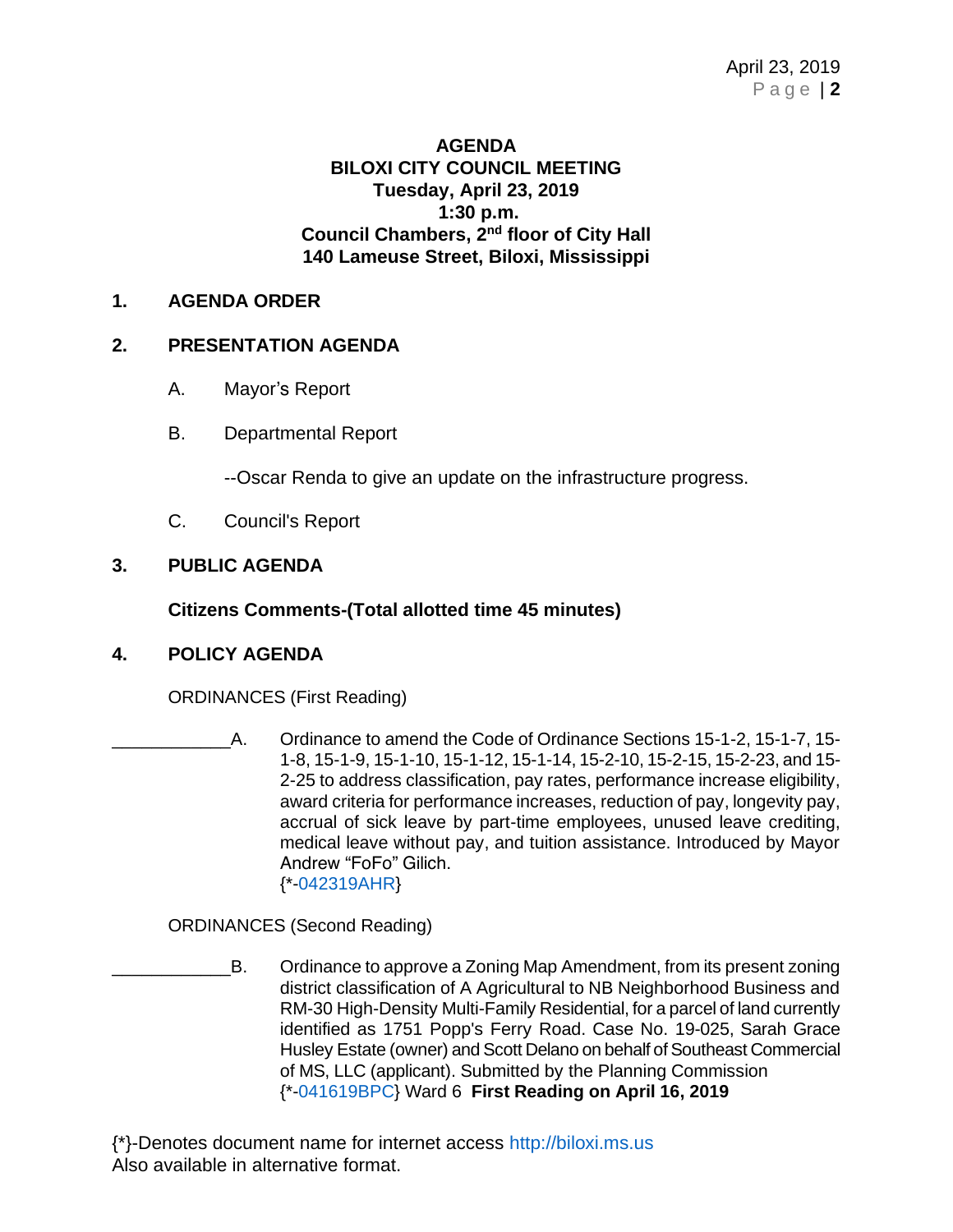# **AGENDA BILOXI CITY COUNCIL MEETING Tuesday, April 23, 2019 1:30 p.m. Council Chambers, 2nd floor of City Hall 140 Lameuse Street, Biloxi, Mississippi**

## **1. AGENDA ORDER**

# **2. PRESENTATION AGENDA**

- A. Mayor's Report
- B. Departmental Report

--Oscar Renda to give an update on the infrastructure progress.

C. Council's Report

# **3. PUBLIC AGENDA**

## **Citizens Comments-(Total allotted time 45 minutes)**

### **4. POLICY AGENDA**

ORDINANCES (First Reading)

A. Ordinance to amend the Code of Ordinance Sections 15-1-2, 15-1-7, 15-1-8, 15-1-9, 15-1-10, 15-1-12, 15-1-14, 15-2-10, 15-2-15, 15-2-23, and 15- 2-25 to address classification, pay rates, performance increase eligibility, award criteria for performance increases, reduction of pay, longevity pay, accrual of sick leave by part-time employees, unused leave crediting, medical leave without pay, and tuition assistance. Introduced by Mayor Andrew "FoFo" Gilich. {\*[-042319AHR}](https://www.biloxi.ms.us/agendas/citycouncil/2019/042319/042319ahr.pdf)

ORDINANCES (Second Reading)

\_\_\_\_\_\_\_\_\_\_\_\_B. Ordinance to approve a Zoning Map Amendment, from its present zoning district classification of A Agricultural to NB Neighborhood Business and RM-30 High-Density Multi-Family Residential, for a parcel of land currently identified as 1751 Popp's Ferry Road. Case No. 19-025, Sarah Grace Husley Estate (owner) and Scott Delano on behalf of Southeast Commercial of MS, LLC (applicant). Submitted by the Planning Commission {\*[-041619BPC}](https://www.biloxi.ms.us/agendas/citycouncil/2019/042319/041619bpc.pdf) Ward 6 **First Reading on April 16, 2019**

{\*}-Denotes document name for internet access [http://biloxi.ms.us](http://biloxi.ms.us/) Also available in alternative format.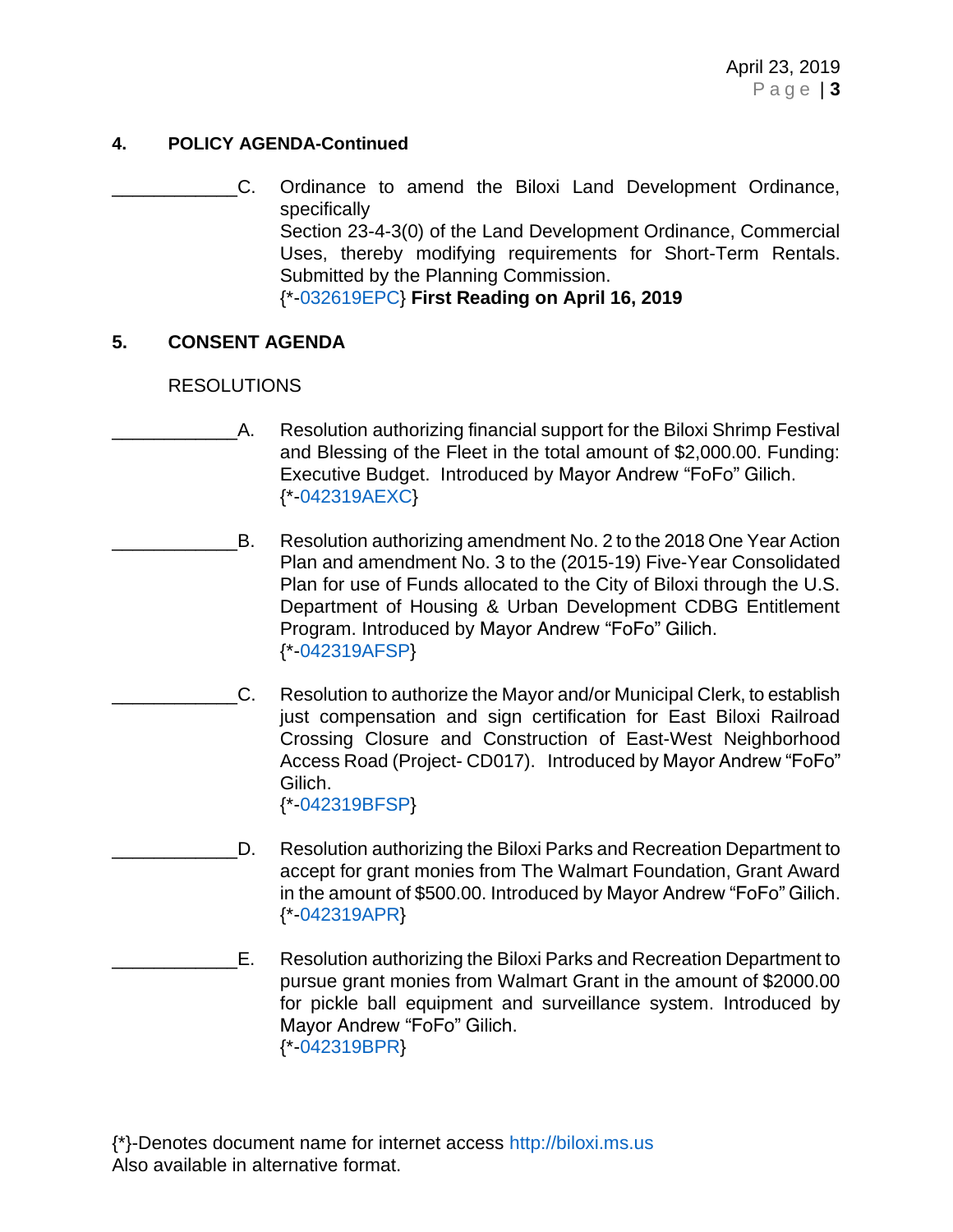#### **4. POLICY AGENDA-Continued**

\_\_\_\_\_\_\_\_\_\_\_\_C. Ordinance to amend the Biloxi Land Development Ordinance, specifically Section 23-4-3(0) of the Land Development Ordinance, Commercial Uses, thereby modifying requirements for Short-Term Rentals. Submitted by the Planning Commission. {\*[-032619EPC}](https://www.biloxi.ms.us/agendas/citycouncil/2019/042319/032619epc.pdf) **First Reading on April 16, 2019**

### **5. CONSENT AGENDA**

#### RESOLUTIONS

- A. Resolution authorizing financial support for the Biloxi Shrimp Festival and Blessing of the Fleet in the total amount of \$2,000.00. Funding: Executive Budget. Introduced by Mayor Andrew "FoFo" Gilich. {\*[-042319AEXC}](https://www.biloxi.ms.us/agendas/citycouncil/2019/042319/042319aexc.pdf)
- B. Resolution authorizing amendment No. 2 to the 2018 One Year Action Plan and amendment No. 3 to the (2015-19) Five-Year Consolidated Plan for use of Funds allocated to the City of Biloxi through the U.S. Department of Housing & Urban Development CDBG Entitlement Program. Introduced by Mayor Andrew "FoFo" Gilich. {\*[-042319AFSP}](https://www.biloxi.ms.us/agendas/citycouncil/2019/042319/042319afsp.pdf)
- \_\_\_\_\_\_\_\_\_\_\_\_C. Resolution to authorize the Mayor and/or Municipal Clerk, to establish just compensation and sign certification for East Biloxi Railroad Crossing Closure and Construction of East-West Neighborhood Access Road (Project- CD017). Introduced by Mayor Andrew "FoFo" Gilich. {\*[-042319BFSP}](https://www.biloxi.ms.us/agendas/citycouncil/2019/042319/042319bfsp.pdf)
- D. Resolution authorizing the Biloxi Parks and Recreation Department to accept for grant monies from The Walmart Foundation, Grant Award in the amount of \$500.00. Introduced by Mayor Andrew "FoFo" Gilich. {\*[-042319APR}](https://www.biloxi.ms.us/agendas/citycouncil/2019/042319/042319apr.pdf)
- \_\_\_\_\_\_\_\_\_\_\_\_E. Resolution authorizing the Biloxi Parks and Recreation Department to pursue grant monies from Walmart Grant in the amount of \$2000.00 for pickle ball equipment and surveillance system. Introduced by Mayor Andrew "FoFo" Gilich. {\*[-042319BPR}](https://www.biloxi.ms.us/agendas/citycouncil/2019/042319/042319bpr.pdf)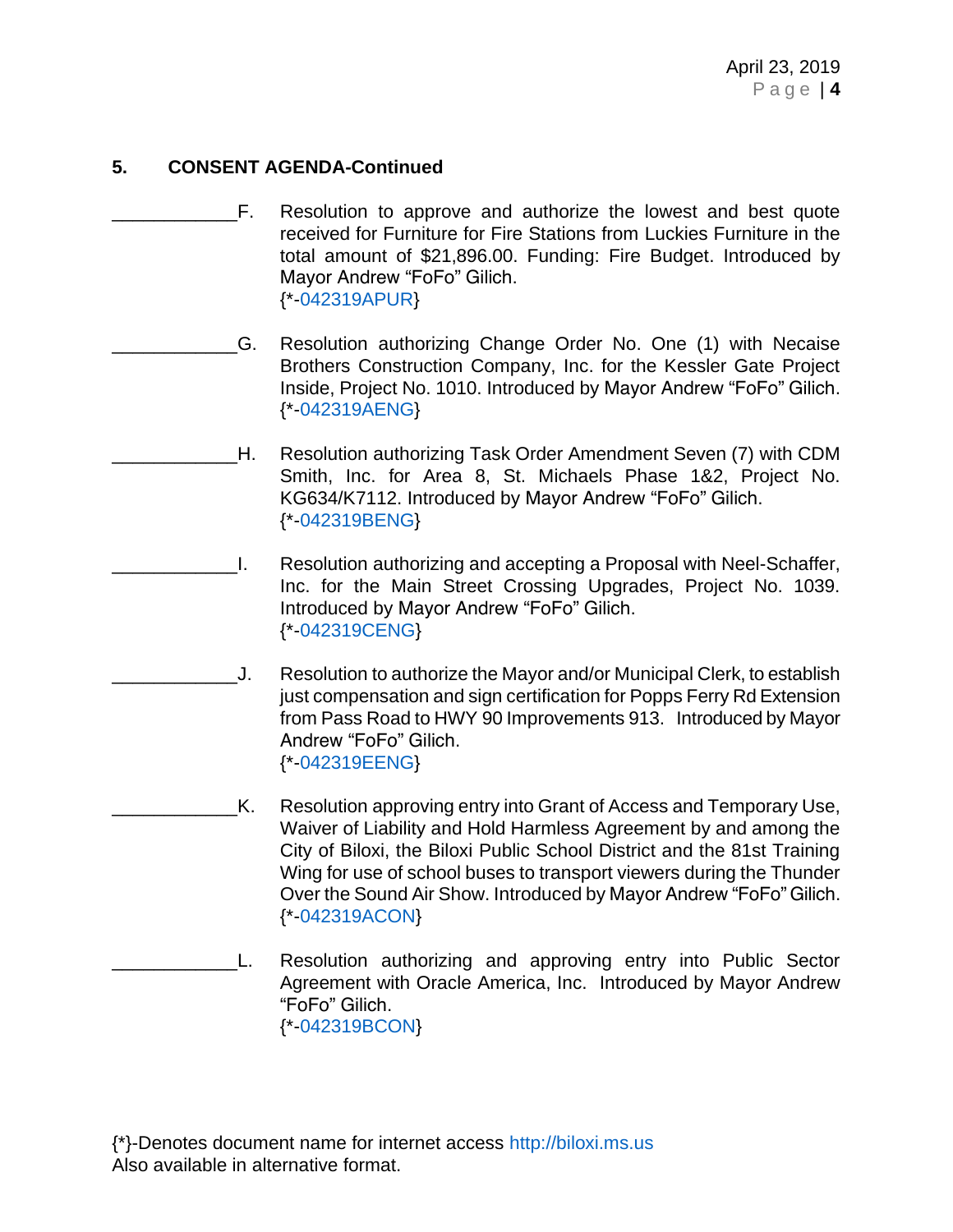# **5. CONSENT AGENDA-Continued**

- F. Resolution to approve and authorize the lowest and best quote received for Furniture for Fire Stations from Luckies Furniture in the total amount of \$21,896.00. Funding: Fire Budget. Introduced by Mayor Andrew "FoFo" Gilich. {\*[-042319APUR}](https://www.biloxi.ms.us/agendas/citycouncil/2019/042319/042319apur.pdf)
	- \_\_\_\_\_\_\_\_\_\_\_\_G. Resolution authorizing Change Order No. One (1) with Necaise Brothers Construction Company, Inc. for the Kessler Gate Project Inside, Project No. 1010. Introduced by Mayor Andrew "FoFo" Gilich. {\*[-042319AENG}](https://www.biloxi.ms.us/agendas/citycouncil/2019/042319/042319aeng.pdf)
	- \_\_\_\_\_\_\_\_\_\_\_\_H. Resolution authorizing Task Order Amendment Seven (7) with CDM Smith, Inc. for Area 8, St. Michaels Phase 1&2, Project No. KG634/K7112. Introduced by Mayor Andrew "FoFo" Gilich. {\*[-042319BENG}](https://www.biloxi.ms.us/agendas/citycouncil/2019/042319/042319beng.pdf)
- \_\_\_\_\_\_\_\_\_\_\_\_I. Resolution authorizing and accepting a Proposal with Neel-Schaffer, Inc. for the Main Street Crossing Upgrades, Project No. 1039. Introduced by Mayor Andrew "FoFo" Gilich. {\*[-042319CENG}](https://www.biloxi.ms.us/agendas/citycouncil/2019/042319/042319ceng.pdf)
- \_\_\_\_\_\_\_\_\_\_\_\_J. Resolution to authorize the Mayor and/or Municipal Clerk, to establish just compensation and sign certification for Popps Ferry Rd Extension from Pass Road to HWY 90 Improvements 913. Introduced by Mayor Andrew "FoFo" Gilich. {\*[-042319EENG}](https://www.biloxi.ms.us/agendas/citycouncil/2019/042319/042319eeng.pdf)
- \_\_\_\_\_\_\_\_\_\_\_\_K. Resolution approving entry into Grant of Access and Temporary Use, Waiver of Liability and Hold Harmless Agreement by and among the City of Biloxi, the Biloxi Public School District and the 81st Training Wing for use of school buses to transport viewers during the Thunder Over the Sound Air Show. Introduced by Mayor Andrew "FoFo" Gilich. {\*[-042319ACON}](https://www.biloxi.ms.us/agendas/citycouncil/2019/042319/042319acon.pdf)
- \_\_\_\_\_\_\_\_\_\_\_\_L. Resolution authorizing and approving entry into Public Sector Agreement with Oracle America, Inc. Introduced by Mayor Andrew "FoFo" Gilich. {\*[-042319BCON}](https://www.biloxi.ms.us/agendas/citycouncil/2019/042319/042319bcon.pdf)